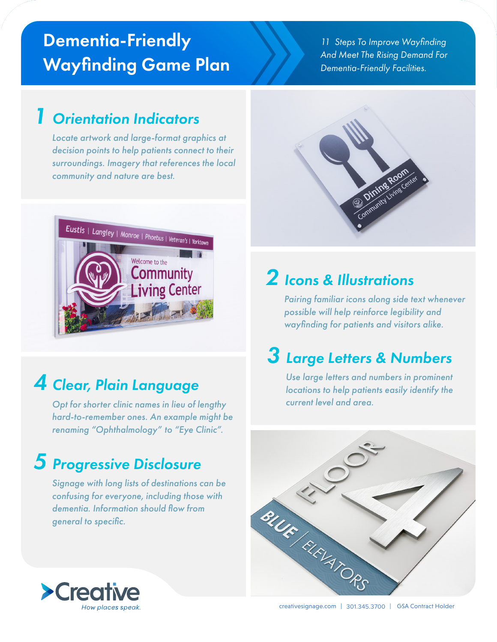# Dementia-Friendly Wayfinding Game Plan

11 Steps To Improve Wayfinding And Meet The Rising Demand For Dementia-Friendly Facilities.

#### 1 Orientation Indicators

Locate artwork and large-format graphics at decision points to help patients connect to their surroundings. Imagery that references the local community and nature are best.



# 4 Clear, Plain Language

Opt for shorter clinic names in lieu of lengthy hard-to-remember ones. An example might be renaming "Ophthalmology" to "Eye Clinic".

#### 5 Progressive Disclosure

Signage with long lists of destinations can be confusing for everyone, including those with dementia. Information should flow from general to specific.



#### 2 Icons & Illustrations

Pairing familiar icons along side text whenever possible will help reinforce legibility and wayfinding for patients and visitors alike.

## 3 Large Letters & Numbers

Use large letters and numbers in prominent locations to help patients easily identify the current level and area.